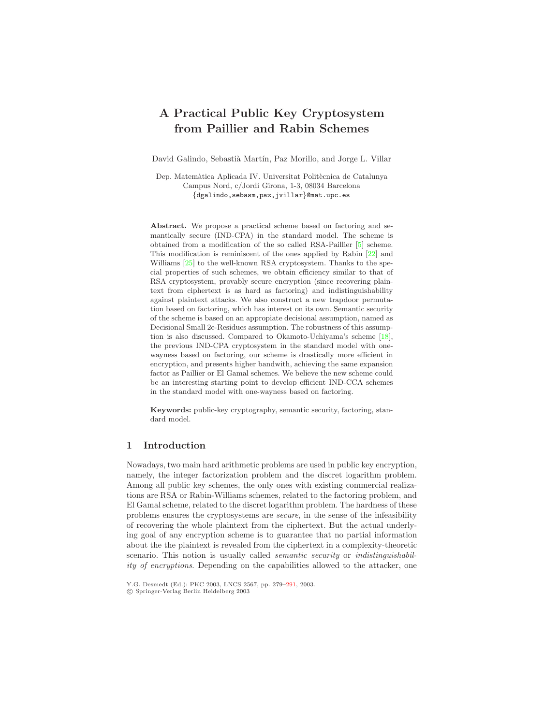# <span id="page-0-0"></span>**A Practical Public Key Cryptosystem from Paillier and Rabin Schemes**

David Galindo, Sebastià Martín, Paz Morillo, and Jorge L. Villar

Dep. Matemàtica Aplicada IV. Universitat Politècnica de Catalunya Campus Nord, c/Jordi Girona, 1-3, 08034 Barcelona *{*dgalindo,sebasm,paz,jvillar*}*@mat.upc.es

**Abstract.** We propose a practical scheme based on factoring and semantically secure (IND-CPA) in the standard model. The scheme is obtained from a modification of the so called RSA-Paillier [\[5\]](#page-11-0) scheme. This modification is reminiscent of the ones applied by Rabin [\[22\]](#page-12-0) and Williams [\[25\]](#page-12-1) to the well-known RSA cryptosystem. Thanks to the special properties of such schemes, we obtain efficiency similar to that of RSA cryptosystem, provably secure encryption (since recovering plaintext from ciphertext is as hard as factoring) and indistinguishability against plaintext attacks. We also construct a new trapdoor permutation based on factoring, which has interest on its own. Semantic security of the scheme is based on an appropiate decisional assumption, named as Decisional Small 2e-Residues assumption. The robustness of this assumption is also discussed. Compared to Okamoto-Uchiyama's scheme [\[18\]](#page-12-2), the previous IND-CPA cryptosystem in the standard model with onewayness based on factoring, our scheme is drastically more efficient in encryption, and presents higher bandwith, achieving the same expansion factor as Paillier or El Gamal schemes. We believe the new scheme could be an interesting starting point to develop efficient IND-CCA schemes in the standard model with one-wayness based on factoring.

**Keywords:** public-key cryptography, semantic security, factoring, standard model.

## **1 Introduction**

Nowadays, two main hard arithmetic problems are used in public key encryption, namely, the integer factorization problem and the discret logarithm problem. Among all public key schemes, the only ones with existing commercial realizations are RSA or Rabin-Williams schemes, related to the factoring problem, and El Gamal scheme, related to the discret logarithm problem. The hardness of these problems ensures the cryptosystems are *secure*, in the sense of the infeasibility of recovering the whole plaintext from the ciphertext. But the actual underlying goal of any encryption scheme is to guarantee that no partial information about the the plaintext is revealed from the ciphertext in a complexity-theoretic scenario. This notion is usually called *semantic security* or *indistinguishability of encryptions*. Depending on the capabilities allowed to the attacker, one

Y.G. Desmedt (Ed.): PKC 2003, LNCS 2567, pp. 279[–291,](#page-12-3) 2003. c Springer-Verlag Berlin Heidelberg 2003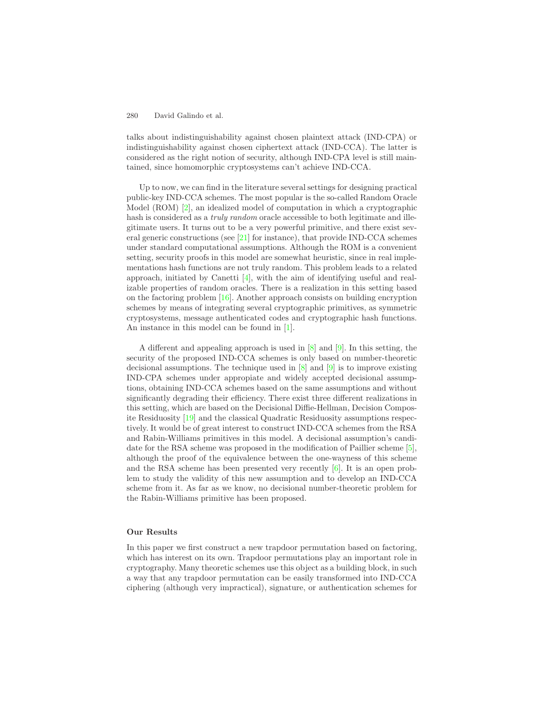<span id="page-1-0"></span>talks about indistinguishability against chosen plaintext attack (IND-CPA) or indistinguishability against chosen ciphertext attack (IND-CCA). The latter is considered as the right notion of security, although IND-CPA level is still maintained, since homomorphic cryptosystems can't achieve IND-CCA.

Up to now, we can find in the literature several settings for designing practical public-key IND-CCA schemes. The most popular is the so-called Random Oracle Model (ROM) [\[2\]](#page-11-1), an idealized model of computation in which a cryptographic hash is considered as a *truly random* oracle accessible to both legitimate and illegitimate users. It turns out to be a very powerful primitive, and there exist several generic constructions (see  $[21]$  for instance), that provide IND-CCA schemes under standard computational assumptions. Although the ROM is a convenient setting, security proofs in this model are somewhat heuristic, since in real implementations hash functions are not truly random. This problem leads to a related approach, initiated by Canetti  $[4]$ , with the aim of identifying useful and realizable properties of random oracles. There is a realization in this setting based on the factoring problem [\[16\]](#page-12-5). Another approach consists on building encryption schemes by means of integrating several cryptographic primitives, as symmetric cryptosystems, message authenticated codes and cryptographic hash functions. An instance in this model can be found in [\[1\]](#page-11-3).

A different and appealing approach is used in  $[8]$  and  $[9]$ . In this setting, the security of the proposed IND-CCA schemes is only based on number-theoretic decisional assumptions. The technique used in [\[8\]](#page-12-6) and [\[9\]](#page-12-7) is to improve existing IND-CPA schemes under appropiate and widely accepted decisional assumptions, obtaining IND-CCA schemes based on the same assumptions and without significantly degrading their efficiency. There exist three different realizations in this setting, which are based on the Decisional Diffie-Hellman, Decision Composite Residuosity [\[19\]](#page-12-8) and the classical Quadratic Residuosity assumptions respectively. It would be of great interest to construct IND-CCA schemes from the RSA and Rabin-Williams primitives in this model. A decisional assumption's candidate for the RSA scheme was proposed in the modification of Paillier scheme [\[5\]](#page-11-0), although the proof of the equivalence between the one-wayness of this scheme and the RSA scheme has been presented very recently [\[6\]](#page-11-4). It is an open problem to study the validity of this new assumption and to develop an IND-CCA scheme from it. As far as we know, no decisional number-theoretic problem for the Rabin-Williams primitive has been proposed.

#### **Our Results**

In this paper we first construct a new trapdoor permutation based on factoring, which has interest on its own. Trapdoor permutations play an important role in cryptography. Many theoretic schemes use this object as a building block, in such a way that any trapdoor permutation can be easily transformed into IND-CCA ciphering (although very impractical), signature, or authentication schemes for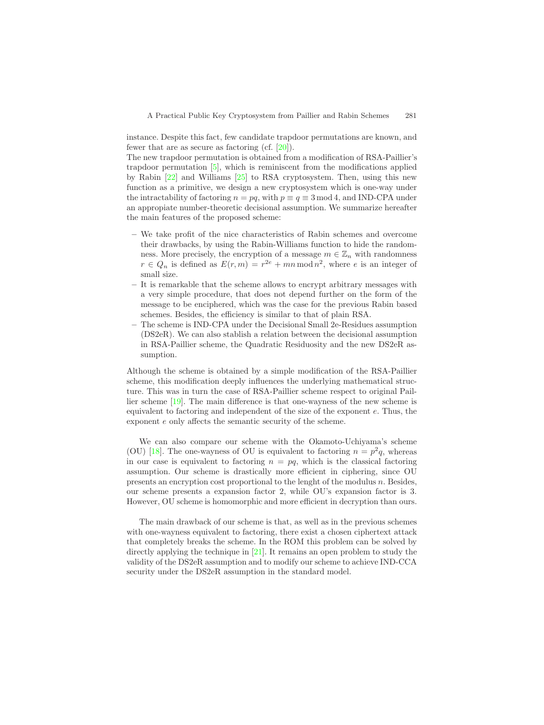<span id="page-2-0"></span>instance. Despite this fact, few candidate trapdoor permutations are known, and fewer that are as secure as factoring (cf.  $[20]$ ).

The new trapdoor permutation is obtained from a modification of RSA-Paillier's trapdoor permutation [\[5\]](#page-11-0), which is reminiscent from the modifications applied by Rabin [\[22\]](#page-12-0) and Williams [\[25\]](#page-12-1) to RSA cryptosystem. Then, using this new function as a primitive, we design a new cryptosystem which is one-way under the intractability of factoring  $n = pq$ , with  $p \equiv q \equiv 3 \mod 4$ , and IND-CPA under an appropiate number-theoretic decisional assumption. We summarize hereafter the main features of the proposed scheme:

- **–** We take profit of the nice characteristics of Rabin schemes and overcome their drawbacks, by using the Rabin-Williams function to hide the randomness. More precisely, the encryption of a message  $m \in \mathbb{Z}_n$  with randomness  $r \in Q_n$  is defined as  $E(r, m) = r^{2e} + mn \mod n^2$ , where e is an integer of small size.
- **–** It is remarkable that the scheme allows to encrypt arbitrary messages with a very simple procedure, that does not depend further on the form of the message to be enciphered, which was the case for the previous Rabin based schemes. Besides, the efficiency is similar to that of plain RSA.
- **–** The scheme is IND-CPA under the Decisional Small 2e-Residues assumption (DS2eR). We can also stablisha relation between the decisional assumption in RSA-Paillier scheme, the Quadratic Residuosity and the new DS2eR assumption.

Although the scheme is obtained by a simple modification of the RSA-Paillier scheme, this modification deeply influences the underlying mathematical structure. This was in turn the case of RSA-Paillier scheme respect to original Paillier scheme [\[19\]](#page-12-8). The main difference is that one-wayness of the new scheme is equivalent to factoring and independent of the size of the exponent  $e$ . Thus, the exponent e only affects the semantic security of the scheme.

We can also compare our scheme with the Okamoto-Uchiyama's scheme (OU) [\[18\]](#page-12-2). The one-wayness of OU is equivalent to factoring  $n = p^2q$ , whereas in our case is equivalent to factoring  $n = pq$ , which is the classical factoring assumption. Our scheme is drastically more efficient in ciphering, since OU presents an encryption cost proportional to the lenght of the modulus  $n$ . Besides, our scheme presents a expansion factor 2, while OU's expansion factor is 3. However, OU scheme is homomorphic and more efficient in decryption than ours.

The main drawback of our scheme is that, as well as in the previous schemes with one-wayness equivalent to factoring, there exist a chosen ciphertext attack that completely breaks the scheme. In the ROM this problem can be solved by directly applying the technique in [\[21\]](#page-12-4). It remains an open problem to study the validity of the DS2eR assumption and to modify our scheme to achieve IND-CCA security under the DS2eR assumption in the standard model.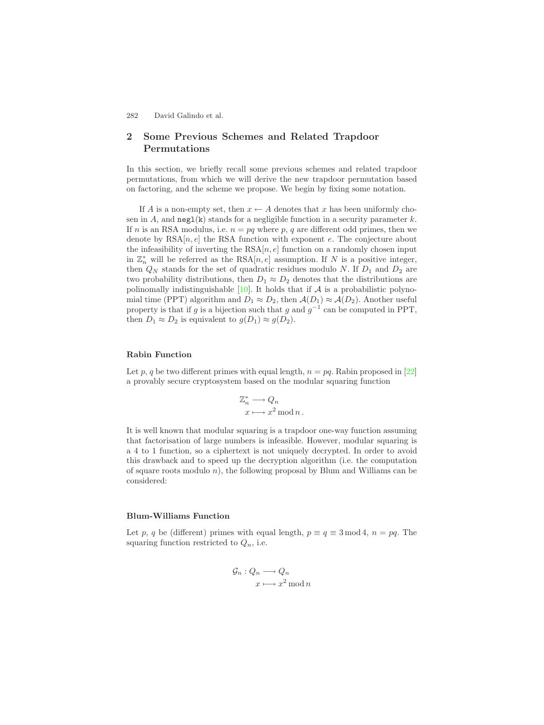# <span id="page-3-1"></span><span id="page-3-0"></span>**2 Some Previous Schemes and Related Trapdoor Permutations**

In this section, we briefly recall some previous schemes and related trapdoor permutations, from which we will derive the new trapdoor permutation based on factoring, and the scheme we propose. We begin by fixing some notation.

If A is a non-empty set, then  $x \leftarrow A$  denotes that x has been uniformly chosen in A, and  $\texttt{negl}(k)$  stands for a negligible function in a security parameter k. If n is an RSA modulus, i.e.  $n = pq$  where p, q are different odd primes, then we denote by  $\text{RSA}[n, e]$  the RSA function with exponent e. The conjecture about the infeasibility of inverting the  $RSA[n, e]$  function on a randomly chosen input in  $\mathbb{Z}_n^*$  will be referred as the RSA $[n, e]$  assumption. If N is a positive integer, then  $Q_N$  stands for the set of quadratic residues modulo N. If  $D_1$  and  $D_2$  are two probability distributions, then  $D_1 \approx D_2$  denotes that the distributions are polinomally indistinguishable [\[10\]](#page-12-10). It holds that if  $A$  is a probabilistic polynomial time (PPT) algorithm and  $D_1 \approx D_2$ , then  $\mathcal{A}(D_1) \approx \mathcal{A}(D_2)$ . Another useful property is that if g is a bijection such that g and  $g^{-1}$  can be computed in PPT, then  $D_1 \approx D_2$  is equivalent to  $g(D_1) \approx g(D_2)$ .

### **Rabin Function**

Let p, q be two different primes with equal length,  $n = pq$ . Rabin proposed in [\[22\]](#page-12-0) a provably secure cryptosystem based on the modular squaring function

$$
\mathbb{Z}_n^* \longrightarrow Q_n
$$
  

$$
x \longmapsto x^2 \bmod n.
$$

It is well known that modular squaring is a trapdoor one-way function assuming that factorisation of large numbers is infeasible. However, modular squaring is a 4 to 1 function, so a ciphertext is not uniquely decrypted. In order to avoid this drawback and to speed up the decryption algorithm (i.e. the computation of square roots modulo  $n$ ), the following proposal by Blum and Williams can be considered:

### **Blum-Williams Function**

Let p, q be (different) primes with equal length,  $p \equiv q \equiv 3 \mod 4$ ,  $n = pq$ . The squaring function restricted to  $Q_n$ , i.e.

$$
\mathcal{G}_n: Q_n \longrightarrow Q_n
$$

$$
x \longmapsto x^2 \mod n
$$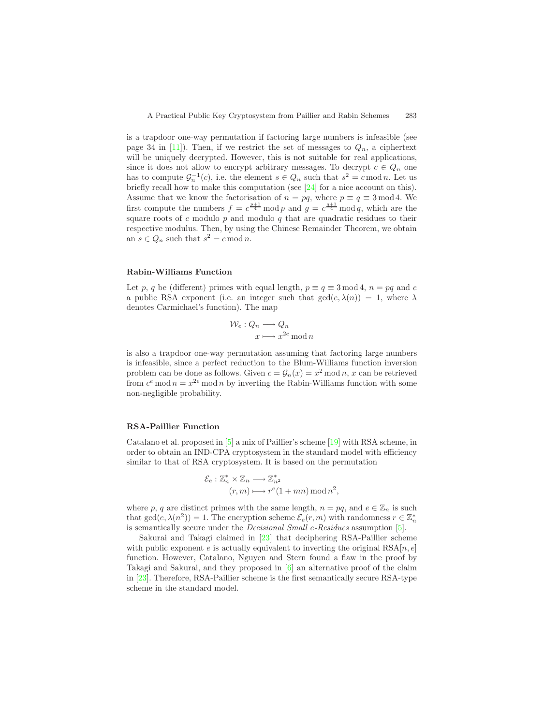<span id="page-4-0"></span>is a trapdoor one-way permutation if factoring large numbers is infeasible (see page 34 in  $[11]$ ). Then, if we restrict the set of messages to  $Q_n$ , a ciphertext will be uniquely decrypted. However, this is not suitable for real applications, since it does not allow to encrypt arbitrary messages. To decrypt  $c \in Q_n$  one has to compute  $\mathcal{G}_n^{-1}(c)$ , i.e. the element  $s \in Q_n$  such that  $s^2 = c \mod n$ . Let us briefly recall how to make this computation (see [\[24\]](#page-12-12) for a nice account on this). Assume that we know the factorisation of  $n = pq$ , where  $p \equiv q \equiv 3 \mod 4$ . We first compute the numbers  $f = c^{\frac{p+1}{4}} \mod p$  and  $g = c^{\frac{q+1}{4}} \mod q$ , which are the square roots of  $c$  modulo  $p$  and modulo  $q$  that are quadratic residues to their respective modulus. Then, by using the Chinese Remainder Theorem, we obtain an  $s \in Q_n$  such that  $s^2 = c \mod n$ .

### **Rabin-Williams Function**

Let p, q be (different) primes with equal length,  $p \equiv q \equiv 3 \mod 4$ ,  $n = pq$  and e a public RSA exponent (i.e. an integer such that  $gcd(e, \lambda(n)) = 1$ , where  $\lambda$ denotes Carmichael's function). The map

$$
\mathcal{W}_e: Q_n \longrightarrow Q_n
$$

$$
x \longmapsto x^{2e} \mod n
$$

is also a trapdoor one-way permutation assuming that factoring large numbers is infeasible, since a perfect reduction to the Blum-Williams function inversion problem can be done as follows. Given  $c = \mathcal{G}_n(x) = x^2 \mod n$ , x can be retrieved from  $c^e$  mod  $n = x^{2e}$  mod n by inverting the Rabin-Williams function with some non-negligible probability.

### **RSA-Paillier Function**

Catalano et al. proposed in [\[5\]](#page-11-0) a mix of Paillier's scheme [\[19\]](#page-12-8) withRSA scheme, in order to obtain an IND-CPA cryptosystem in the standard model with efficiency similar to that of RSA cryptosystem. It is based on the permutation

$$
\mathcal{E}_e: \mathbb{Z}_n^* \times \mathbb{Z}_n \longrightarrow \mathbb{Z}_{n^2}^*
$$
  

$$
(r, m) \longmapsto r^e (1 + mn) \bmod n^2,
$$

where p, q are distinct primes with the same length,  $n = pq$ , and  $e \in \mathbb{Z}_n$  is such that  $gcd(e, \lambda(n^2)) = 1$ . The encryption scheme  $\mathcal{E}_e(r, m)$  with randomness  $r \in \mathbb{Z}_n^*$ is semantically secure under the *Decisional Small* e*-Residues* assumption [\[5\]](#page-11-0).

Sakurai and Takagi claimed in [\[23\]](#page-12-13) that deciphering RSA-Paillier scheme with public exponent e is actually equivalent to inverting the original  $RSA[n, e]$ function. However, Catalano, Nguyen and Stern found a flaw in the proof by Takagi and Sakurai, and they proposed in [\[6\]](#page-11-4) an alternative proof of the claim in [\[23\]](#page-12-13). Therefore, RSA-Paillier scheme is the first semantically secure RSA-type scheme in the standard model.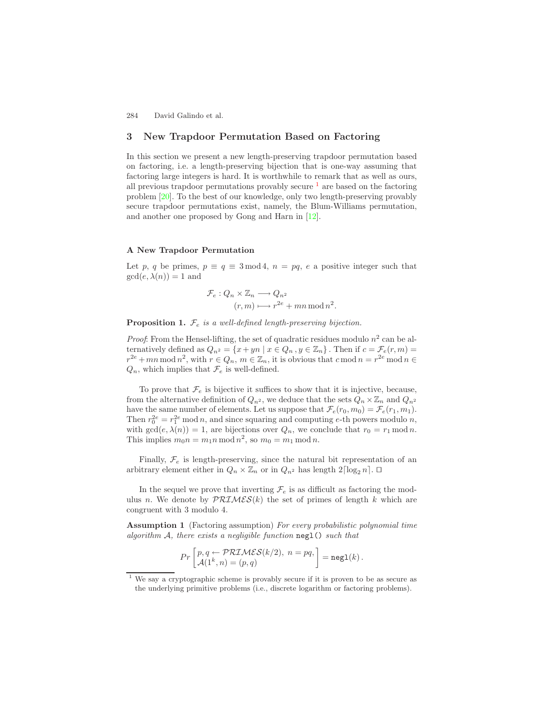### <span id="page-5-1"></span>**3 New Trapdoor Permutation Based on Factoring**

In this section we present a new length-preserving trapdoor permutation based on factoring, i.e. a length-preserving bijection that is one-way assuming that factoring large integers is hard. It is worthwhile to remark that as well as ours, all previous trapdoor permutations provably secure  $<sup>1</sup>$  $<sup>1</sup>$  $<sup>1</sup>$  are based on the factoring</sup> problem [\[20\]](#page-12-9). To the best of our knowledge, only two length-preserving provably secure trapdoor permutations exist, namely, the Blum-Williams permutation, and another one proposed by Gong and Harn in [\[12\]](#page-12-14).

### **A New Trapdoor Permutation**

Let p, q be primes,  $p \equiv q \equiv 3 \mod 4$ ,  $n = pq$ , e a positive integer such that  $gcd(e, \lambda(n)) = 1$  and

$$
\mathcal{F}_e: Q_n \times \mathbb{Z}_n \longrightarrow Q_{n^2}
$$
  

$$
(r, m) \longmapsto r^{2e} + mn \bmod n^2.
$$

**Proposition 1.** F*<sup>e</sup> is a well-defined length-preserving bijection.*

*Proof*: From the Hensel-lifting, the set of quadratic residues modulo  $n^2$  can be alternatively defined as  $Q_{n^2} = \{x + yn \mid x \in Q_n, y \in \mathbb{Z}_n\}$ . Then if  $c = \mathcal{F}_e(r, m) =$  $r^{2e} + mn \mod n^2$ , with  $r \in Q_n$ ,  $m \in \mathbb{Z}_n$ , it is obvious that  $c \mod n = r^{2e} \mod n \in$  $Q_n$ , which implies that  $\mathcal{F}_e$  is well-defined.

<span id="page-5-0"></span>To prove that  $\mathcal{F}_e$  is bijective it suffices to show that it is injective, because, from the alternative definition of  $Q_{n^2}$ , we deduce that the sets  $Q_n \times \mathbb{Z}_n$  and  $Q_{n^2}$ have the same number of elements. Let us suppose that  $\mathcal{F}_e(r_0, m_0) = \mathcal{F}_e(r_1, m_1)$ . Then  $r_0^{2e} = r_1^{2e} \mod n$ , and since squaring and computing e-th powers modulo n, with  $gcd(e, \lambda(n)) = 1$ , are bijections over  $Q_n$ , we conclude that  $r_0 = r_1 \mod n$ . This implies  $m_0n = m_1n \mod n^2$ , so  $m_0 = m_1 \mod n$ .

Finally,  $\mathcal{F}_e$  is length-preserving, since the natural bit representation of an arbitrary element either in  $Q_n \times \mathbb{Z}_n$  or in  $Q_{n^2}$  has length  $2 \lceil \log_2 n \rceil$ .  $\Box$ 

In the sequel we prove that inverting  $\mathcal{F}_e$  is as difficult as factoring the modulus n. We denote by  $\mathcal{PRIMES}(k)$  the set of primes of length k which are congruent with 3 modulo 4.

**Assumption 1** (Factoring assumption) *For every probabilistic polynomial time algorithm* <sup>A</sup>*, there exists a negligible function* negl() *such that*

$$
Pr\left[p, q \leftarrow \mathcal{PRIMES}(k/2), n = pq, \atop \mathcal{A}(1^k, n) = (p, q)
$$

<sup>1</sup> We say a cryptographic scheme is provably secure if it is proven to be as secure as the underlying primitive problems (i.e., discrete logarithm or factoring problems).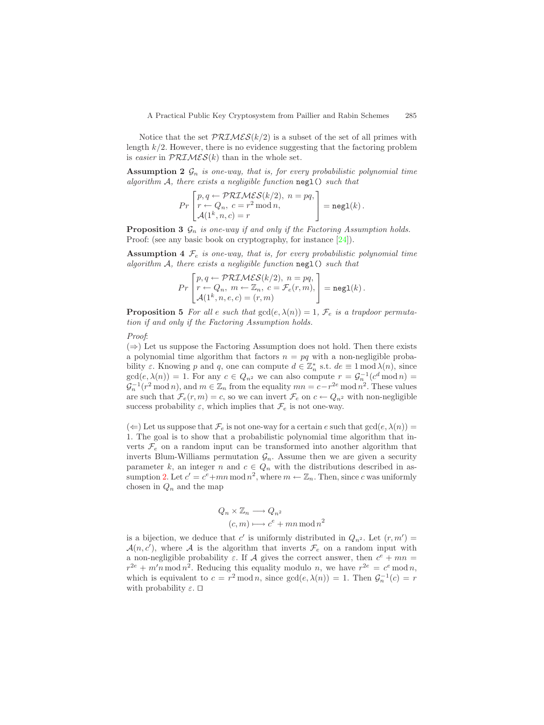<span id="page-6-1"></span><span id="page-6-0"></span>Notice that the set  $\mathcal{PRIMES}(k/2)$  is a subset of the set of all primes with length  $k/2$ . However, there is no evidence suggesting that the factoring problem is *easier* in  $\mathcal{PRIMES}(k)$  than in the whole set.

**Assumption 2**  $\mathcal{G}_n$  *is one-way, that is, for every probabilistic polynomial time algorithm* <sup>A</sup>*, there exists a negligible function* negl() *such that*

$$
Pr\left[\begin{matrix}p, q \leftarrow \mathcal{PRIMES}(k/2), \ n = pq, \\ r \leftarrow Q_n, \ c = r^2 \bmod n, \\ \mathcal{A}(1^k, n, c) = r\end{matrix}\right] = neg1(k).
$$

**Proposition 3**  $\mathcal{G}_n$  *is one-way if and only if the Factoring Assumption holds.* Proof: (see any basic book on cryptography, for instance [\[24\]](#page-12-12)).

**Assumption 4**  $\mathcal{F}_e$  *is one-way, that is, for every probabilistic polynomial time algorithm* <sup>A</sup>*, there exists a negligible function* negl() *such that*

$$
Pr\left[\begin{matrix}p,q \leftarrow \mathcal{PRIMES}(k/2), n = pq, \\ r \leftarrow Q_n, m \leftarrow \mathbb{Z}_n, c = \mathcal{F}_e(r,m), \\ \mathcal{A}(1^k, n, e, c) = (r, m)\end{matrix}\right] = neg1(k).
$$

**Proposition 5** For all e such that  $gcd(e, \lambda(n)) = 1$ ,  $\mathcal{F}_e$  is a trapdoor permuta*tion if and only if the Factoring Assumption holds.*

*Proof*:

 $(⇒)$  Let us suppose the Factoring Assumption does not hold. Then there exists a polynomial time algorithm that factors  $n = pq$  with a non-negligible probability  $\varepsilon$ . Knowing p and q, one can compute  $d \in \mathbb{Z}_n^*$  s.t.  $de \equiv 1 \mod \lambda(n)$ , since  $gcd(e, \lambda(n)) = 1$ . For any  $c \in Q_{n^2}$  we can also compute  $r = \mathcal{G}_n^{-1}(c^d \mod n)$  $\mathcal{G}_n^{-1}(r^2 \mod n)$ , and  $m \in \mathbb{Z}_n$  from the equality  $mn = c-r^{2e} \mod n^2$ . These values are such that  $\mathcal{F}_e(r,m) = c$ , so we can invert  $\mathcal{F}_e$  on  $c \leftarrow Q_{n^2}$  with non-negligible success probability  $\varepsilon$ , which implies that  $\mathcal{F}_e$  is not one-way.

 $(\Leftarrow)$  Let us suppose that  $\mathcal{F}_e$  is not one-way for a certain e such that  $gcd(e, \lambda(n)) =$ 1. The goal is to show that a probabilistic polynomial time algorithm that inverts  $\mathcal{F}_e$  on a random input can be transformed into another algorithm that inverts Blum-Williams permutation  $\mathcal{G}_n$ . Assume then we are given a security parameter k, an integer n and  $c \in Q_n$  with the distributions described in as-sumption [2.](#page-6-0) Let  $c' = c^e + mn \mod n^2$ , where  $m \leftarrow \mathbb{Z}_n$ . Then, since c was uniformly chosen in  $Q_n$  and the map

$$
Q_n \times \mathbb{Z}_n \longrightarrow Q_{n^2}
$$
  
(c, m)  $\longmapsto c^e + mn \bmod n^2$ 

is a bijection, we deduce that c' is uniformly distributed in  $Q_{n^2}$ . Let  $(r, m') =$  $\mathcal{A}(n, c')$ , where A is the algorithm that inverts  $\mathcal{F}_e$  on a random input with a non-negligible probability  $\varepsilon$ . If A gives the correct answer, then  $c^e + mn =$  $r^{2e} + m'n \mod n^2$ . Reducing this equality modulo n, we have  $r^{2e} = c^e \mod n$ , which is equivalent to  $c = r^2 \mod n$ , since  $gcd(e, \lambda(n)) = 1$ . Then  $\mathcal{G}_n^{-1}(c) = r$ with probability  $\varepsilon$ .  $\square$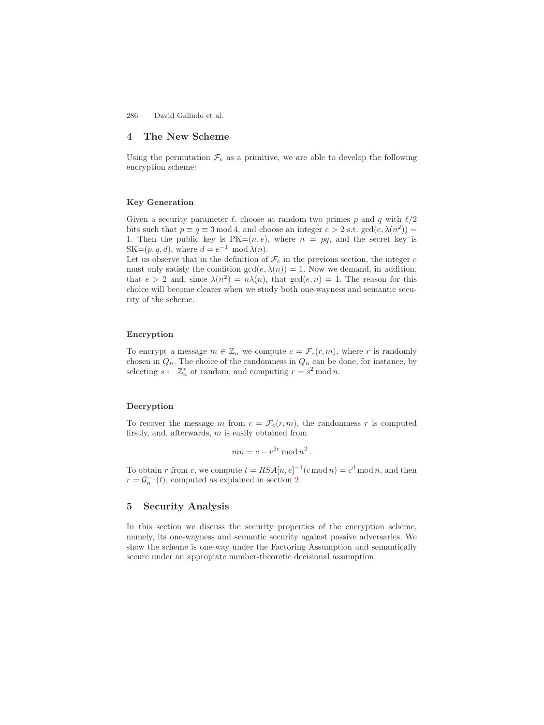### <span id="page-7-0"></span>**4 The New Scheme**

Using the permutation  $\mathcal{F}_e$  as a primitive, we are able to develop the following encryption scheme:

### **Key Generation**

Given a security parameter  $\ell$ , choose at random two primes p and q with  $\ell/2$ bits such that  $p \equiv q \equiv 3 \mod 4$ , and choose an integer  $e > 2$  s.t.  $gcd(e, \lambda(n^2)) =$ 1. Then the public key is  $PK=(n, e)$ , where  $n = pq$ , and the secret key is SK= $(p, q, d)$ , where  $d = e^{-1} \mod \lambda(n)$ .

Let us observe that in the definition of  $\mathcal{F}_e$  in the previous section, the integer  $e$ must only satisfy the condition  $gcd(e, \lambda(n)) = 1$ . Now we demand, in addition, that  $e > 2$  and, since  $\lambda(n^2) = n\lambda(n)$ , that  $gcd(e, n) = 1$ . The reason for this choice will become clearer when we study both one-wayness and semantic security of the scheme.

### **Encryption**

To encrypt a message  $m \in \mathbb{Z}_n$  we compute  $c = \mathcal{F}_e(r,m)$ , where r is randomly chosen in  $Q_n$ . The choice of the randomness in  $Q_n$  can be done, for instance, by selecting  $s \leftarrow \mathbb{Z}_n^*$  at random, and computing  $r = s^2 \mod n$ .

### **Decryption**

To recover the message m from  $c = \mathcal{F}_e(r,m)$ , the randomness r is computed firstly, and, afterwards,  $m$  is easily obtained from

$$
mn = c - r^{2e} \bmod n^2.
$$

To obtain r from c, we compute  $t = RSA[n, e]^{-1}(c \mod n) = c^d \mod n$ , and then  $r = \mathcal{G}_n^{-1}(t),$  computed as explained in section [2.](#page-3-0)

### **5 Security Analysis**

In this section we discuss the security properties of the encryption scheme, namely, its one-wayness and semantic security against passive adversaries. We show the scheme is one-way under the Factoring Assumption and semantically secure under an appropiate number-theoretic decisional assumption.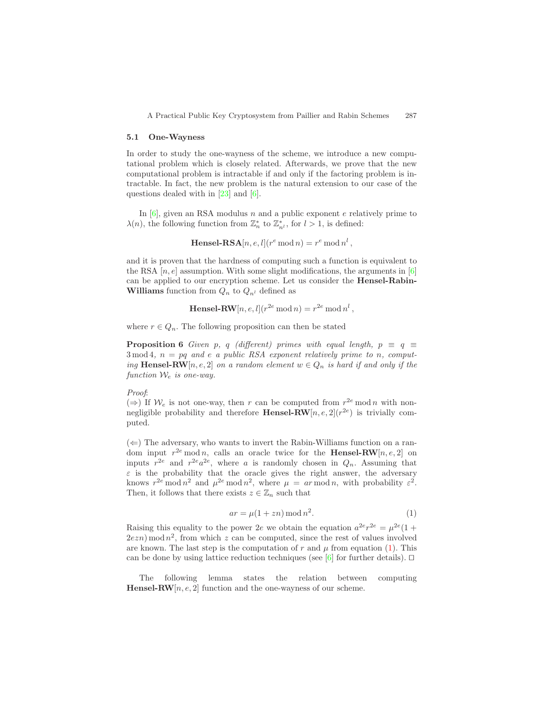#### <span id="page-8-3"></span>**5.1 One-Wayness**

In order to study the one-wayness of the scheme, we introduce a new computational problem which is closely related. Afterwards, we prove that the new computational problem is intractable if and only if the factoring problem is intractable. In fact, the new problem is the natural extension to our case of the questions dealed with in  $[23]$  and  $[6]$ .

In  $[6]$ , given an RSA modulus n and a public exponent e relatively prime to  $\lambda(n)$ , the following function from  $\mathbb{Z}_n^*$  to  $\mathbb{Z}_{n^l}^*$ , for  $l > 1$ , is defined:

Hensel-RSA[
$$
n, e, l
$$
]( $r^e \mod n$ ) =  $r^e \mod n^l$ ,

and it is proven that the hardness of computing such a function is equivalent to the RSA  $[n, e]$  assumption. With some slight modifications, the arguments in [\[6\]](#page-11-4) can be applied to our encryption scheme. Let us consider the **Hensel-Rabin-Williams** function from  $Q_n$  to  $Q_{n^l}$  defined as

Hensel-RW[
$$
n, e, l
$$
]( $r^{2e} \mod n$ ) =  $r^{2e} \mod n^l$ ,

<span id="page-8-2"></span>where  $r \in Q_n$ . The following proposition can then be stated

**Proposition 6** *Given* p, q *(different)* primes with equal length,  $p \equiv q \equiv$  $3 \mod 4$ ,  $n = pq$  and e a public RSA exponent relatively prime to n, comput*ing* **Hensel-RW**[n, e, 2] *on a random element*  $w \in Q_n$  *is hard if and only if the function* W*<sup>e</sup> is one-way.*

*Proof*:

(⇒) If  $W_e$  is not one-way, then r can be computed from  $r^{2e}$  mod n with nonnegligible probability and therefore **Hensel-RW**[n, e, 2]( $r^{2e}$ ) is trivially computed.

<span id="page-8-0"></span> $(\Leftarrow)$  The adversary, who wants to invert the Rabin-Williams function on a random input  $r^{2e} \mod n$ , calls an oracle twice for the **Hensel-RW**[n, e, 2] on inputs  $r^{2e}$  and  $r^{2e}a^{2e}$ , where a is randomly chosen in  $Q_n$ . Assuming that  $\varepsilon$  is the probability that the oracle gives the right answer, the adversary knows  $r^{2e} \mod n^2$  and  $\mu^{2e} \mod n^2$ , where  $\mu = ar \mod n$ , with probability  $\varepsilon^2$ . Then, it follows that there exists  $z \in \mathbb{Z}_n$  such that

$$
ar = \mu(1 + zn) \mod n^2.
$$
 (1)

Raising this equality to the power 2e we obtain the equation  $a^{2e}r^{2e} = \mu^{2e}(1 +$  $(2ezn) \mod n^2$ , from which z can be computed, since the rest of values involved are known. The last step is the computation of r and  $\mu$  from equation [\(1\)](#page-8-0). This can be done by using lattice reduction techniques (see [\[6\]](#page-11-4) for further details).  $\Box$ 

<span id="page-8-1"></span>The following lemma states the relation between computing **Hensel-RW**[ $n, e, 2$ ] function and the one-wayness of our scheme.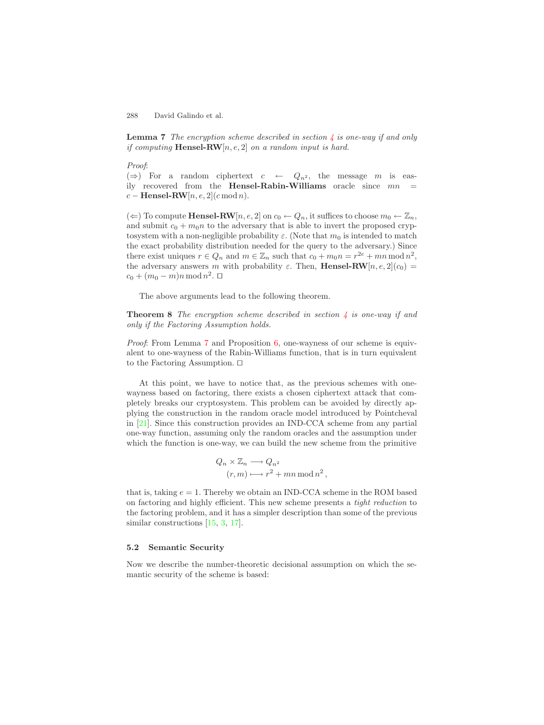<span id="page-9-0"></span>**Lemma 7** *The encryption scheme described in section [4](#page-7-0) is one-way if and only if computing* **Hensel-RW**[n, e, 2] *on a random input is hard.*

*Proof*:

 $(\Rightarrow)$  For a random ciphertext  $c \leftarrow Q_{n^2}$ , the message m is ily recovered from the **Hensel-Rabin-Williams** oracle since  $mn$  $c -$ **Hensel-RW**[ $n, e, 2$ ]( $c \mod n$ ).

(←) To compute **Hensel-RW**[n, e, 2] on  $c_0$  ←  $Q_n$ , it suffices to choose  $m_0$  ←  $\mathbb{Z}_n$ , and submit  $c_0 + m_0n$  to the adversary that is able to invert the proposed crypto system with a non-negligible probability  $\varepsilon$ . (Note that  $m_0$  is intended to match the exact probability distribution needed for the query to the adversary.) Since there exist uniques  $r \in Q_n$  and  $m \in \mathbb{Z}_n$  such that  $c_0 + m_0 n = r^{2e} + mn \mod n^2$ , the adversary answers m with probability  $\varepsilon$ . Then, **Hensel-RW**[n, e, 2](c<sub>0</sub>) =  $c_0 + (m_0 - m)n \bmod n^2$ .

The above arguments lead to the following theorem.

**Theorem 8** *The encryption scheme described in section [4](#page-7-0) is one-way if and only if the Factoring Assumption holds.*

*Proof*: From Lemma [7](#page-8-1) and Proposition [6,](#page-8-2) one-wayness of our scheme is equivalent to one-wayness of the Rabin-Williams function, that is in turn equivalent to the Factoring Assumption.  $\square$ 

At this point, we have to notice that, as the previous schemes with onewayness based on factoring, there exists a chosen ciphertext attack that completely breaks our cryptosystem. This problem can be avoided by directly applying the construction in the random oracle model introduced by Pointcheval in [\[21\]](#page-12-4). Since this construction provides an IND-CCA scheme from any partial one-way function, assuming only the random oracles and the assumption under which the function is one-way, we can build the new scheme from the primitive

$$
Q_n \times \mathbb{Z}_n \longrightarrow Q_{n^2}
$$
  

$$
(r, m) \longmapsto r^2 + mn \bmod n^2
$$

that is, taking  $e = 1$ . Thereby we obtain an IND-CCA scheme in the ROM based on factoring and highly efficient. This new scheme presents a *tight reduction* to the factoring problem, and it has a simpler description than some of the previous similar constructions [\[15,](#page-12-15) [3,](#page-11-5) [17\]](#page-12-16).

### **5.2 Semantic Security**

Now we describe the number-theoretic decisional assumption on which the semantic security of the scheme is based: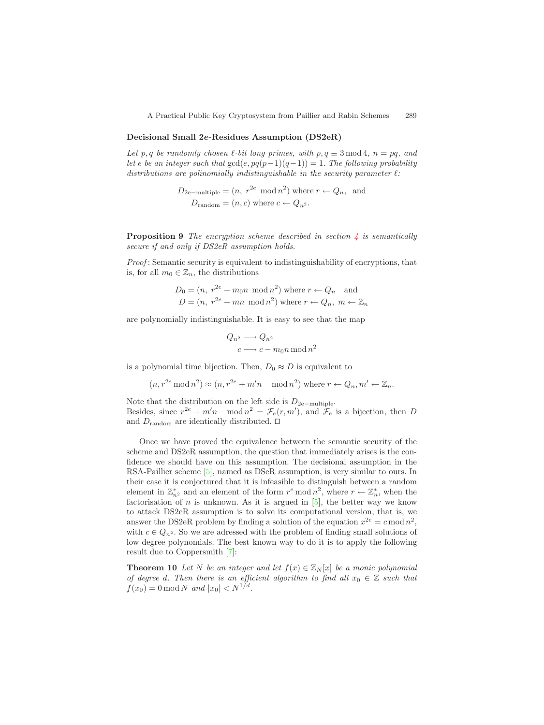<span id="page-10-0"></span>A Practical Public Key Cryptosystem from Paillier and Rabin Schemes 289

### **Decisional Small 2***e***-Residues Assumption (DS2eR)**

*Let* p, q *be randomly chosen*  $\ell$ -*bit long primes, with*  $p, q \equiv 3 \mod 4$ ,  $n = pq$ , and *let* e *be an integer such that*  $gcd(e, pq(p-1)(q-1)) = 1$ . *The following probability distributions are polinomially indistinguishable in the security parameter*  $\ell$ :

> $D_{2e-\text{multiple}} = (n, r^{2e} \mod n^2)$  where  $r \leftarrow Q_n$ , and  $D_{\text{random}} = (n, c)$  where  $c \leftarrow Q_{n^2}$ .

**Proposition 9** *The encryption scheme described in section [4](#page-7-0) is semantically secure if and only if DS2eR assumption holds.*

*Proof* : Semantic security is equivalent to indistinguishability of encryptions, that is, for all  $m_0 \in \mathbb{Z}_n$ , the distributions

$$
D_0 = (n, r^{2e} + m_0 n \mod n^2) \text{ where } r \leftarrow Q_n \text{ and}
$$
  

$$
D = (n, r^{2e} + mn \mod n^2) \text{ where } r \leftarrow Q_n, m \leftarrow \mathbb{Z}_n
$$

are polynomially indistinguishable. It is easy to see that the map

$$
Q_{n^2} \longrightarrow Q_{n^2}
$$

$$
c \longmapsto c - m_0 n \operatorname{mod} n^2
$$

is a polynomial time bijection. Then,  $D_0 \approx D$  is equivalent to

$$
(n, r^{2e} \mod n^2) \approx (n, r^{2e} + m'n \mod n^2)
$$
 where  $r \leftarrow Q_n, m' \leftarrow \mathbb{Z}_n$ .

Note that the distribution on the left side is  $D_{2e-\text{multiple}}$ . Besides, since  $r^{2e} + m'n \mod n^2 = \mathcal{F}_e(r,m')$ , and  $\mathcal{F}_e$  is a bijection, then D and  $D_{\text{random}}$  are identically distributed.  $\square$ 

Once we have proved the equivalence between the semantic security of the scheme and DS2eR assumption, the question that immediately arises is the confidence we should have on this assumption. The decisional assumption in the RSA-Paillier scheme [\[5\]](#page-11-0), named as DSeR assumption, is very similar to ours. In their case it is conjectured that it is infeasible to distinguish between a random element in  $\mathbb{Z}_{n^2}^*$  and an element of the form  $r^e \mod n^2$ , where  $r \leftarrow \mathbb{Z}_n^*$ , when the factorisation of  $n$  is unknown. As it is argued in  $[5]$ , the better way we know to attack DS2eR assumption is to solve its computational version, that is, we answer the DS2eR problem by finding a solution of the equation  $x^{2e} = c \mod n^2$ , with  $c \in Q_{n^2}$ . So we are adressed with the problem of finding small solutions of low degree polynomials. The best known way to do it is to apply the following result due to Coppersmith [\[7\]](#page-12-17):

**Theorem 10** *Let* N *be an integer and let*  $f(x) \in \mathbb{Z}_N[x]$  *be a monic polynomial of degree d. Then there is an efficient algorithm to find all*  $x_0 \in \mathbb{Z}$  *such that*  $f(x_0) = 0 \mod N$  *and*  $|x_0| < N^{1/d}$ *.*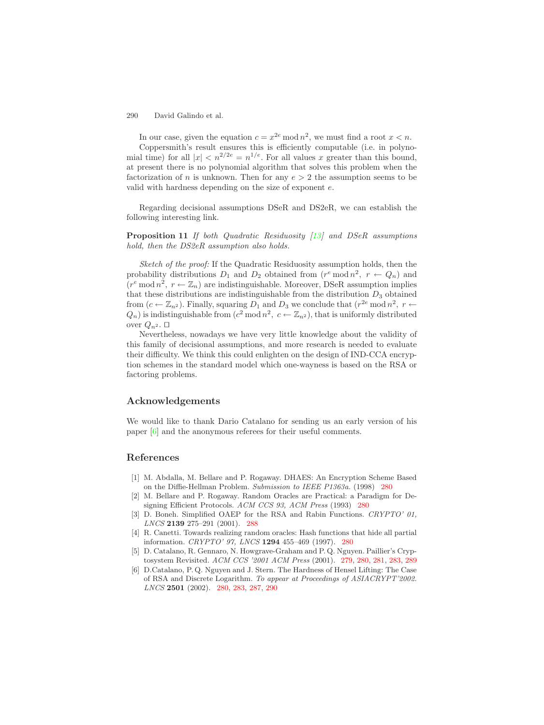<span id="page-11-6"></span>In our case, given the equation  $c = x^{2e} \mod n^2$ , we must find a root  $x < n$ . Coppersmith's result ensures this is efficiently computable (i.e. in polynomial time) for all  $|x| < n^{2/2e} = n^{1/e}$ . For all values x greater than this bound, at present there is no polynomial algorithm that solves this problem when the factorization of n is unknown. Then for any  $e > 2$  the assumption seems to be valid with hardness depending on the size of exponent e.

Regarding decisional assumptions DSeR and DS2eR, we can establish the following interesting link.

**Proposition 11** *If both Quadratic Residuosity [\[13\]](#page-12-18) and DSeR assumptions hold, then the DS2eR assumption also holds.*

*Sketch of the proof:* If the Quadratic Residuosity assumption holds, then the probability distributions  $D_1$  and  $D_2$  obtained from  $(r^e \mod n^2, r \leftarrow Q_n)$  and  $(r^e \mod n^2, r \leftarrow \mathbb{Z}_n)$  are indistinguishable. Moreover, DSeR assumption implies that these distributions are indistinguishable from the distribution  $D_3$  obtained from  $(c \leftarrow \mathbb{Z}_{n^2})$ . Finally, squaring  $D_1$  and  $D_3$  we conclude that  $(r^{2e} \mod n^2, r \leftarrow$  $Q_n$ ) is indistinguishable from  $(c^2 \mod n^2, c \leftarrow \mathbb{Z}_{n^2})$ , that is uniformly distributed over  $Q_{n^2}$ .  $\square$ 

Nevertheless, nowadays we have very little knowledge about the validity of this family of decisional assumptions, and more research is needed to evaluate their difficulty. We think this could enlighten on the design of IND-CCA encryption schemes in the standard model which one-wayness is based on the RSA or factoring problems.

### **Acknowledgements**

<span id="page-11-3"></span>We would like to thank Dario Catalano for sending us an early version of his paper [\[6\]](#page-11-4) and the anonymous referees for their useful comments.

### <span id="page-11-5"></span><span id="page-11-1"></span>**References**

- [1] M. Abdalla, M. Bellare and P. Rogaway. DHAES: An Encryption Scheme Based on the Diffie-Hellman Problem. *Submission to IEEE P1363a.* (1998) [280](#page-1-0)
- <span id="page-11-2"></span>[2] M. Bellare and P. Rogaway. Random Oracles are Practical: a Paradigm for Designing Efficient Protocols. *ACM CCS 93, ACM Press* (1993) [280](#page-1-0)
- <span id="page-11-0"></span>[3] D. Boneh. Simplified OAEP for the RSA and Rabin Functions. *CRYPTO' 01, LNCS* **2139** 275–291(2001). [288](#page-9-0)
- <span id="page-11-4"></span>[4] R. Canetti. Towards realizing random oracles: Hash functions that hide all partial information. *CRYPTO' 97, LNCS* **1294** 455–469 (1997). [280](#page-1-0)
- [5] D. Catalano, R. Gennaro, N. Howgrave-Graham and P. Q. Nguyen. Paillier's Cryptosystem Revisited. *ACM CCS '2001 ACM Press* (2001). [279,](#page-0-0) [280,](#page-1-0) [281,](#page-2-0) [283,](#page-4-0) [289](#page-10-0)
- [6] D.Catalano, P. Q. Nguyen and J. Stern. The Hardness of Hensel Lifting: The Case of RSA and Discrete Logarithm. *To appear at Proceedings of ASIACRYPT'2002. LNCS* **2501** (2002). [280,](#page-1-0) [283,](#page-4-0) [287,](#page-8-3) [290](#page-11-6)